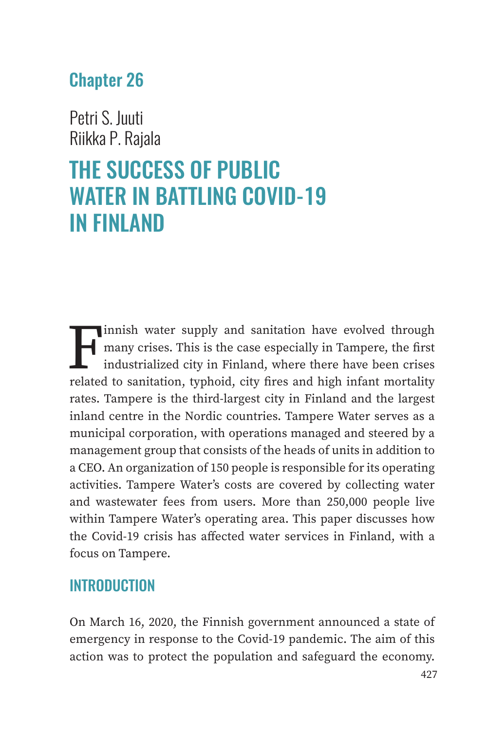## Chapter 26

Petri S. Juuti Riikka P. Rajala

# THE SUCCESS OF PUBLIC WATER IN BATTLING COVID-19 IN FINLAND

Finnish water supply and sanitation have evolved through<br>many crises. This is the case especially in Tampere, the first<br>industrialized city in Finland, where there have been crises<br>related to sanitation, typhoid, city fire many crises. This is the case especially in Tampere, the first industrialized city in Finland, where there have been crises related to sanitation, typhoid, city fires and high infant mortality rates. Tampere is the third-largest city in Finland and the largest inland centre in the Nordic countries. Tampere Water serves as a municipal corporation, with operations managed and steered by a management group that consists of the heads of units in addition to a CEO. An organization of 150 people is responsible for its operating activities. Tampere Water's costs are covered by collecting water and wastewater fees from users. More than 250,000 people live within Tampere Water's operating area. This paper discusses how the Covid-19 crisis has affected water services in Finland, with a focus on Tampere.

#### **INTRODUCTION**

On March 16, 2020, the Finnish government announced a state of emergency in response to the Covid-19 pandemic. The aim of this action was to protect the population and safeguard the economy.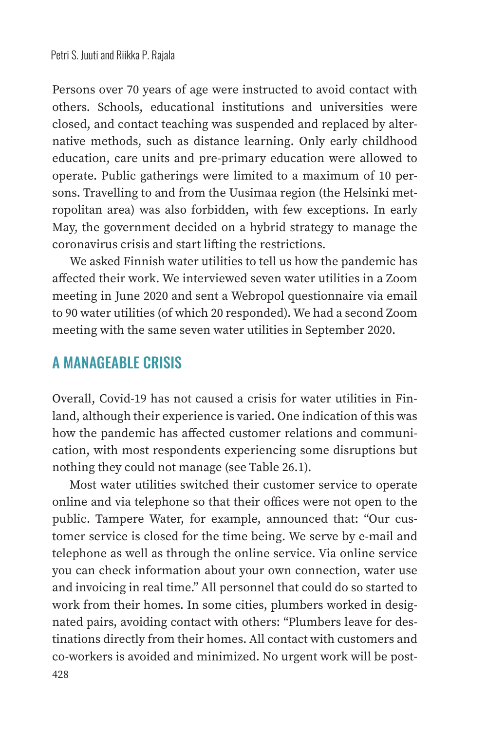Persons over 70 years of age were instructed to avoid contact with others. Schools, educational institutions and universities were closed, and contact teaching was suspended and replaced by alternative methods, such as distance learning. Only early childhood education, care units and pre-primary education were allowed to operate. Public gatherings were limited to a maximum of 10 persons. Travelling to and from the Uusimaa region (the Helsinki metropolitan area) was also forbidden, with few exceptions. In early May, the government decided on a hybrid strategy to manage the coronavirus crisis and start lifting the restrictions.

We asked Finnish water utilities to tell us how the pandemic has affected their work. We interviewed seven water utilities in a Zoom meeting in June 2020 and sent a Webropol questionnaire via email to 90 water utilities (of which 20 responded). We had a second Zoom meeting with the same seven water utilities in September 2020.

#### A MANAGEABLE CRISIS

Overall, Covid-19 has not caused a crisis for water utilities in Finland, although their experience is varied. One indication of this was how the pandemic has affected customer relations and communication, with most respondents experiencing some disruptions but nothing they could not manage (see Table 26.1).

Most water utilities switched their customer service to operate online and via telephone so that their offices were not open to the public. Tampere Water, for example, announced that: "Our customer service is closed for the time being. We serve by e-mail and telephone as well as through the online service. Via online service you can check information about your own connection, water use and invoicing in real time." All personnel that could do so started to work from their homes. In some cities, plumbers worked in designated pairs, avoiding contact with others: "Plumbers leave for destinations directly from their homes. All contact with customers and co-workers is avoided and minimized. No urgent work will be post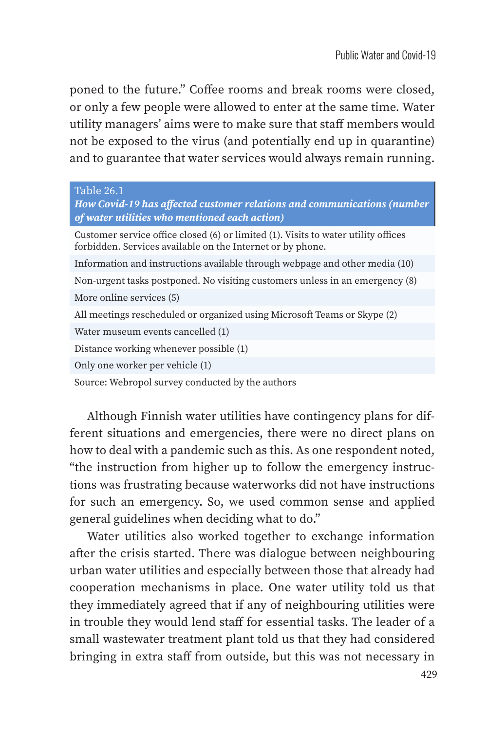poned to the future." Coffee rooms and break rooms were closed, or only a few people were allowed to enter at the same time. Water utility managers' aims were to make sure that staff members would not be exposed to the virus (and potentially end up in quarantine) and to guarantee that water services would always remain running.

#### Table 26.1

| How Covid-19 has affected customer relations and communications (number<br>of water utilities who mentioned each action)                         |
|--------------------------------------------------------------------------------------------------------------------------------------------------|
| Customer service office closed (6) or limited (1). Visits to water utility offices<br>forbidden. Services available on the Internet or by phone. |
| Information and instructions available through webpage and other media (10)                                                                      |
| Non-urgent tasks postponed. No visiting customers unless in an emergency (8)                                                                     |
| More online services (5)                                                                                                                         |
| All meetings rescheduled or organized using Microsoft Teams or Skype (2)                                                                         |
| Water museum events cancelled (1)                                                                                                                |
| Distance working whenever possible (1)                                                                                                           |
| Only one worker per vehicle (1)                                                                                                                  |
| Source: Webropol survey conducted by the authors                                                                                                 |

Although Finnish water utilities have contingency plans for different situations and emergencies, there were no direct plans on how to deal with a pandemic such as this. As one respondent noted, "the instruction from higher up to follow the emergency instructions was frustrating because waterworks did not have instructions for such an emergency. So, we used common sense and applied general guidelines when deciding what to do."

Water utilities also worked together to exchange information after the crisis started. There was dialogue between neighbouring urban water utilities and especially between those that already had cooperation mechanisms in place. One water utility told us that they immediately agreed that if any of neighbouring utilities were in trouble they would lend staff for essential tasks. The leader of a small wastewater treatment plant told us that they had considered bringing in extra staff from outside, but this was not necessary in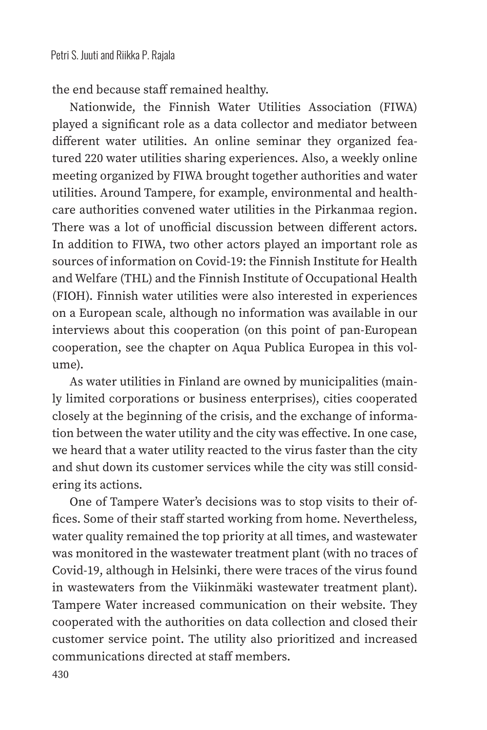the end because staff remained healthy.

Nationwide, the Finnish Water Utilities Association (FIWA) played a significant role as a data collector and mediator between different water utilities. An online seminar they organized featured 220 water utilities sharing experiences. Also, a weekly online meeting organized by FIWA brought together authorities and water utilities. Around Tampere, for example, environmental and healthcare authorities convened water utilities in the Pirkanmaa region. There was a lot of unofficial discussion between different actors. In addition to FIWA, two other actors played an important role as sources of information on Covid-19: the Finnish Institute for Health and Welfare (THL) and the Finnish Institute of Occupational Health (FIOH). Finnish water utilities were also interested in experiences on a European scale, although no information was available in our interviews about this cooperation (on this point of pan-European cooperation, see the chapter on Aqua Publica Europea in this volume).

As water utilities in Finland are owned by municipalities (mainly limited corporations or business enterprises), cities cooperated closely at the beginning of the crisis, and the exchange of information between the water utility and the city was effective. In one case, we heard that a water utility reacted to the virus faster than the city and shut down its customer services while the city was still considering its actions.

One of Tampere Water's decisions was to stop visits to their offices. Some of their staff started working from home. Nevertheless, water quality remained the top priority at all times, and wastewater was monitored in the wastewater treatment plant (with no traces of Covid-19, although in Helsinki, there were traces of the virus found in wastewaters from the Viikinmäki wastewater treatment plant). Tampere Water increased communication on their website. They cooperated with the authorities on data collection and closed their customer service point. The utility also prioritized and increased communications directed at staff members.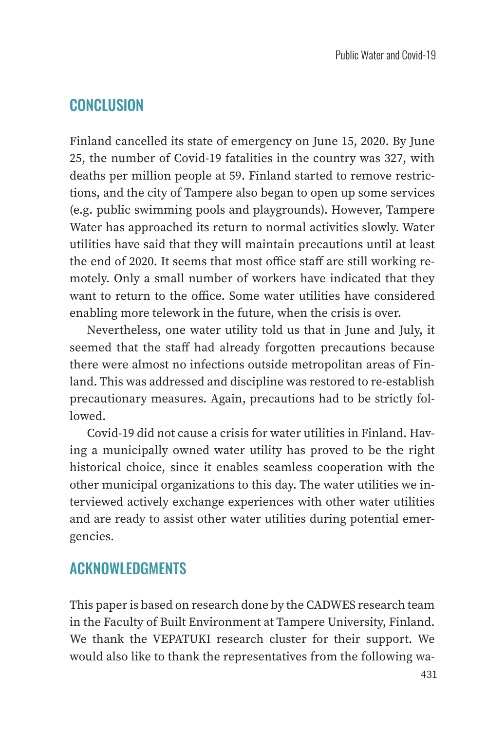### CONCLUSION

Finland cancelled its state of emergency on June 15, 2020. By June 25, the number of Covid-19 fatalities in the country was 327, with deaths per million people at 59. Finland started to remove restrictions, and the city of Tampere also began to open up some services (e.g. public swimming pools and playgrounds). However, Tampere Water has approached its return to normal activities slowly. Water utilities have said that they will maintain precautions until at least the end of 2020. It seems that most office staff are still working remotely. Only a small number of workers have indicated that they want to return to the office. Some water utilities have considered enabling more telework in the future, when the crisis is over.

Nevertheless, one water utility told us that in June and July, it seemed that the staff had already forgotten precautions because there were almost no infections outside metropolitan areas of Finland. This was addressed and discipline was restored to re-establish precautionary measures. Again, precautions had to be strictly followed.

Covid-19 did not cause a crisis for water utilities in Finland. Having a municipally owned water utility has proved to be the right historical choice, since it enables seamless cooperation with the other municipal organizations to this day. The water utilities we interviewed actively exchange experiences with other water utilities and are ready to assist other water utilities during potential emergencies.

#### ACKNOWLEDGMENTS

This paper is based on research done by the CADWES research team in the Faculty of Built Environment at Tampere University, Finland. We thank the VEPATUKI research cluster for their support. We would also like to thank the representatives from the following wa